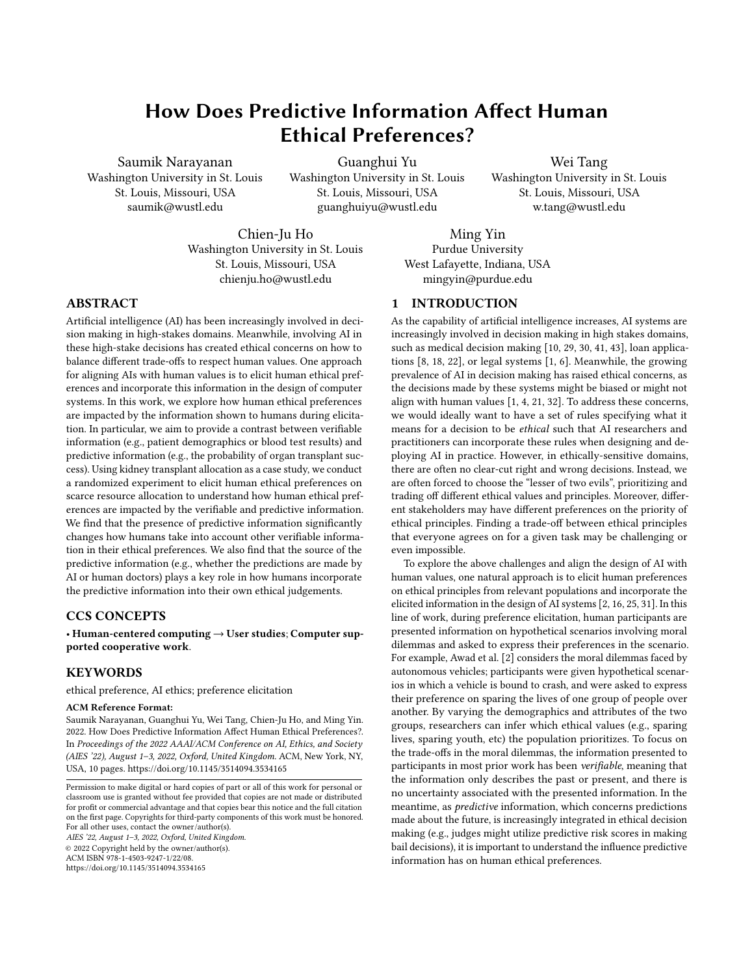# How Does Predictive Information Affect Human Ethical Preferences?

Saumik Narayanan Washington University in St. Louis St. Louis, Missouri, USA saumik@wustl.edu

Guanghui Yu Washington University in St. Louis St. Louis, Missouri, USA guanghuiyu@wustl.edu

Wei Tang Washington University in St. Louis St. Louis, Missouri, USA w.tang@wustl.edu

Chien-Ju Ho Washington University in St. Louis St. Louis, Missouri, USA chienju.ho@wustl.edu

Ming Yin Purdue University West Lafayette, Indiana, USA mingyin@purdue.edu

# 1 INTRODUCTION

As the capability of artificial intelligence increases, AI systems are increasingly involved in decision making in high stakes domains, such as medical decision making [\[10,](#page-8-0) [29,](#page-8-1) [30,](#page-8-2) [41,](#page-9-1) [43\]](#page-9-2), loan applications [\[8,](#page-8-3) [18,](#page-8-4) [22\]](#page-8-5), or legal systems [\[1,](#page-8-6) [6\]](#page-8-7). Meanwhile, the growing prevalence of AI in decision making has raised ethical concerns, as the decisions made by these systems might be biased or might not align with human values [\[1,](#page-8-6) [4,](#page-8-8) [21,](#page-8-9) [32\]](#page-8-10). To address these concerns, we would ideally want to have a set of rules specifying what it means for a decision to be ethical such that AI researchers and practitioners can incorporate these rules when designing and deploying AI in practice. However, in ethically-sensitive domains, there are often no clear-cut right and wrong decisions. Instead, we are often forced to choose the "lesser of two evils", prioritizing and trading off different ethical values and principles. Moreover, different stakeholders may have different preferences on the priority of ethical principles. Finding a trade-off between ethical principles that everyone agrees on for a given task may be challenging or even impossible.

To explore the above challenges and align the design of AI with human values, one natural approach is to elicit human preferences on ethical principles from relevant populations and incorporate the elicited information in the design of AI systems [\[2,](#page-8-11) [16,](#page-8-12) [25,](#page-8-13) [31\]](#page-8-14). In this line of work, during preference elicitation, human participants are presented information on hypothetical scenarios involving moral dilemmas and asked to express their preferences in the scenario. For example, Awad et al. [\[2\]](#page-8-11) considers the moral dilemmas faced by autonomous vehicles; participants were given hypothetical scenarios in which a vehicle is bound to crash, and were asked to express their preference on sparing the lives of one group of people over another. By varying the demographics and attributes of the two groups, researchers can infer which ethical values (e.g., sparing lives, sparing youth, etc) the population prioritizes. To focus on the trade-offs in the moral dilemmas, the information presented to participants in most prior work has been verifiable, meaning that the information only describes the past or present, and there is no uncertainty associated with the presented information. In the meantime, as predictive information, which concerns predictions made about the future, is increasingly integrated in ethical decision making (e.g., judges might utilize predictive risk scores in making bail decisions), it is important to understand the influence predictive information has on human ethical preferences.

# ABSTRACT

Artificial intelligence (AI) has been increasingly involved in decision making in high-stakes domains. Meanwhile, involving AI in these high-stake decisions has created ethical concerns on how to balance different trade-offs to respect human values. One approach for aligning AIs with human values is to elicit human ethical preferences and incorporate this information in the design of computer systems. In this work, we explore how human ethical preferences are impacted by the information shown to humans during elicitation. In particular, we aim to provide a contrast between verifiable information (e.g., patient demographics or blood test results) and predictive information (e.g., the probability of organ transplant success). Using kidney transplant allocation as a case study, we conduct a randomized experiment to elicit human ethical preferences on scarce resource allocation to understand how human ethical preferences are impacted by the verifiable and predictive information. We find that the presence of predictive information significantly changes how humans take into account other verifiable information in their ethical preferences. We also find that the source of the predictive information (e.g., whether the predictions are made by AI or human doctors) plays a key role in how humans incorporate the predictive information into their own ethical judgements.

# CCS CONCEPTS

• Human-centered computing  $\rightarrow$  User studies; Computer supported cooperative work.

# **KEYWORDS**

ethical preference, AI ethics; preference elicitation

#### ACM Reference Format:

Saumik Narayanan, Guanghui Yu, Wei Tang, Chien-Ju Ho, and Ming Yin. 2022. How Does Predictive Information Affect Human Ethical Preferences?. In Proceedings of the 2022 AAAI/ACM Conference on AI, Ethics, and Society (AIES '22), August 1–3, 2022, Oxford, United Kingdom. ACM, New York, NY, USA, [10](#page-9-0) pages.<https://doi.org/10.1145/3514094.3534165>

AIES '22, August 1–3, 2022, Oxford, United Kingdom. © 2022 Copyright held by the owner/author(s). ACM ISBN 978-1-4503-9247-1/22/08.

<https://doi.org/10.1145/3514094.3534165>

Permission to make digital or hard copies of part or all of this work for personal or classroom use is granted without fee provided that copies are not made or distributed for profit or commercial advantage and that copies bear this notice and the full citation on the first page. Copyrights for third-party components of this work must be honored. For all other uses, contact the owner/author(s).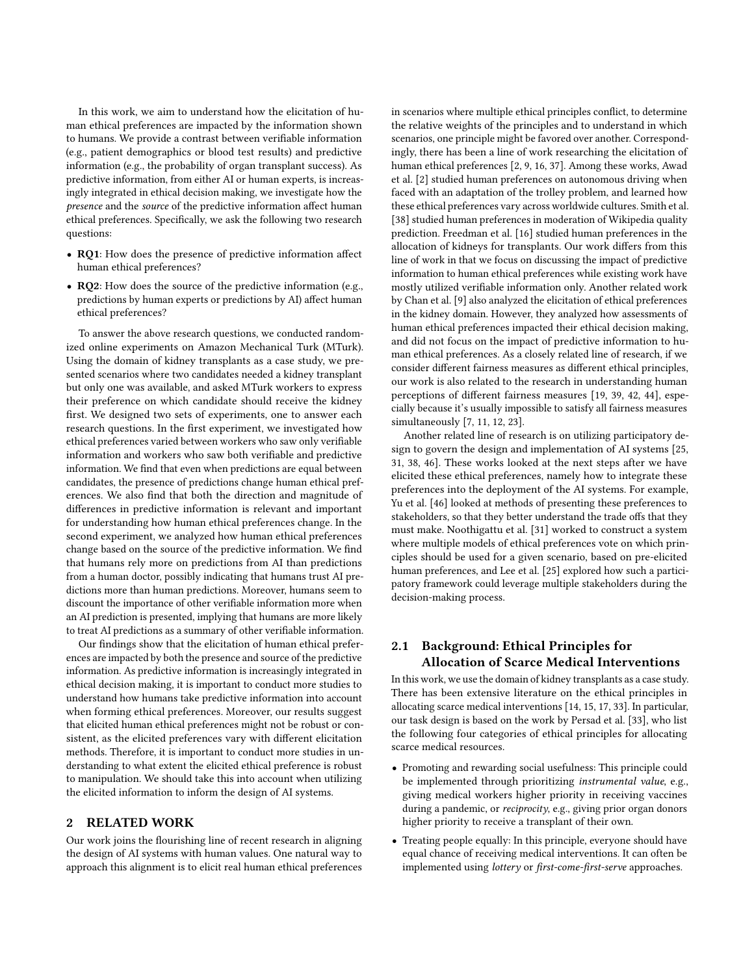In this work, we aim to understand how the elicitation of human ethical preferences are impacted by the information shown to humans. We provide a contrast between verifiable information (e.g., patient demographics or blood test results) and predictive information (e.g., the probability of organ transplant success). As predictive information, from either AI or human experts, is increasingly integrated in ethical decision making, we investigate how the presence and the source of the predictive information affect human ethical preferences. Specifically, we ask the following two research questions:

- RQ1: How does the presence of predictive information affect human ethical preferences?
- RQ2: How does the source of the predictive information (e.g., predictions by human experts or predictions by AI) affect human ethical preferences?

To answer the above research questions, we conducted randomized online experiments on Amazon Mechanical Turk (MTurk). Using the domain of kidney transplants as a case study, we presented scenarios where two candidates needed a kidney transplant but only one was available, and asked MTurk workers to express their preference on which candidate should receive the kidney first. We designed two sets of experiments, one to answer each research questions. In the first experiment, we investigated how ethical preferences varied between workers who saw only verifiable information and workers who saw both verifiable and predictive information. We find that even when predictions are equal between candidates, the presence of predictions change human ethical preferences. We also find that both the direction and magnitude of differences in predictive information is relevant and important for understanding how human ethical preferences change. In the second experiment, we analyzed how human ethical preferences change based on the source of the predictive information. We find that humans rely more on predictions from AI than predictions from a human doctor, possibly indicating that humans trust AI predictions more than human predictions. Moreover, humans seem to discount the importance of other verifiable information more when an AI prediction is presented, implying that humans are more likely to treat AI predictions as a summary of other verifiable information.

Our findings show that the elicitation of human ethical preferences are impacted by both the presence and source of the predictive information. As predictive information is increasingly integrated in ethical decision making, it is important to conduct more studies to understand how humans take predictive information into account when forming ethical preferences. Moreover, our results suggest that elicited human ethical preferences might not be robust or consistent, as the elicited preferences vary with different elicitation methods. Therefore, it is important to conduct more studies in understanding to what extent the elicited ethical preference is robust to manipulation. We should take this into account when utilizing the elicited information to inform the design of AI systems.

# 2 RELATED WORK

Our work joins the flourishing line of recent research in aligning the design of AI systems with human values. One natural way to approach this alignment is to elicit real human ethical preferences in scenarios where multiple ethical principles conflict, to determine the relative weights of the principles and to understand in which scenarios, one principle might be favored over another. Correspondingly, there has been a line of work researching the elicitation of human ethical preferences [\[2,](#page-8-11) [9,](#page-8-15) [16,](#page-8-12) [37\]](#page-8-16). Among these works, Awad et al. [\[2\]](#page-8-11) studied human preferences on autonomous driving when faced with an adaptation of the trolley problem, and learned how these ethical preferences vary across worldwide cultures. Smith et al. [\[38\]](#page-9-3) studied human preferences in moderation of Wikipedia quality prediction. Freedman et al. [\[16\]](#page-8-12) studied human preferences in the allocation of kidneys for transplants. Our work differs from this line of work in that we focus on discussing the impact of predictive information to human ethical preferences while existing work have mostly utilized verifiable information only. Another related work by Chan et al. [\[9\]](#page-8-15) also analyzed the elicitation of ethical preferences in the kidney domain. However, they analyzed how assessments of human ethical preferences impacted their ethical decision making, and did not focus on the impact of predictive information to human ethical preferences. As a closely related line of research, if we consider different fairness measures as different ethical principles, our work is also related to the research in understanding human perceptions of different fairness measures [\[19,](#page-8-17) [39,](#page-9-4) [42,](#page-9-5) [44\]](#page-9-6), especially because it's usually impossible to satisfy all fairness measures simultaneously [\[7,](#page-8-18) [11,](#page-8-19) [12,](#page-8-20) [23\]](#page-8-21).

Another related line of research is on utilizing participatory design to govern the design and implementation of AI systems [\[25,](#page-8-13) [31,](#page-8-14) [38,](#page-9-3) [46\]](#page-9-7). These works looked at the next steps after we have elicited these ethical preferences, namely how to integrate these preferences into the deployment of the AI systems. For example, Yu et al. [\[46\]](#page-9-7) looked at methods of presenting these preferences to stakeholders, so that they better understand the trade offs that they must make. Noothigattu et al. [\[31\]](#page-8-14) worked to construct a system where multiple models of ethical preferences vote on which principles should be used for a given scenario, based on pre-elicited human preferences, and Lee et al. [\[25\]](#page-8-13) explored how such a participatory framework could leverage multiple stakeholders during the decision-making process.

# <span id="page-1-0"></span>2.1 Background: Ethical Principles for Allocation of Scarce Medical Interventions

In this work, we use the domain of kidney transplants as a case study. There has been extensive literature on the ethical principles in allocating scarce medical interventions [\[14,](#page-8-22) [15,](#page-8-23) [17,](#page-8-24) [33\]](#page-8-25). In particular, our task design is based on the work by Persad et al. [\[33\]](#page-8-25), who list the following four categories of ethical principles for allocating scarce medical resources.

- Promoting and rewarding social usefulness: This principle could be implemented through prioritizing instrumental value, e.g., giving medical workers higher priority in receiving vaccines during a pandemic, or reciprocity, e.g., giving prior organ donors higher priority to receive a transplant of their own.
- Treating people equally: In this principle, everyone should have equal chance of receiving medical interventions. It can often be implemented using lottery or first-come-first-serve approaches.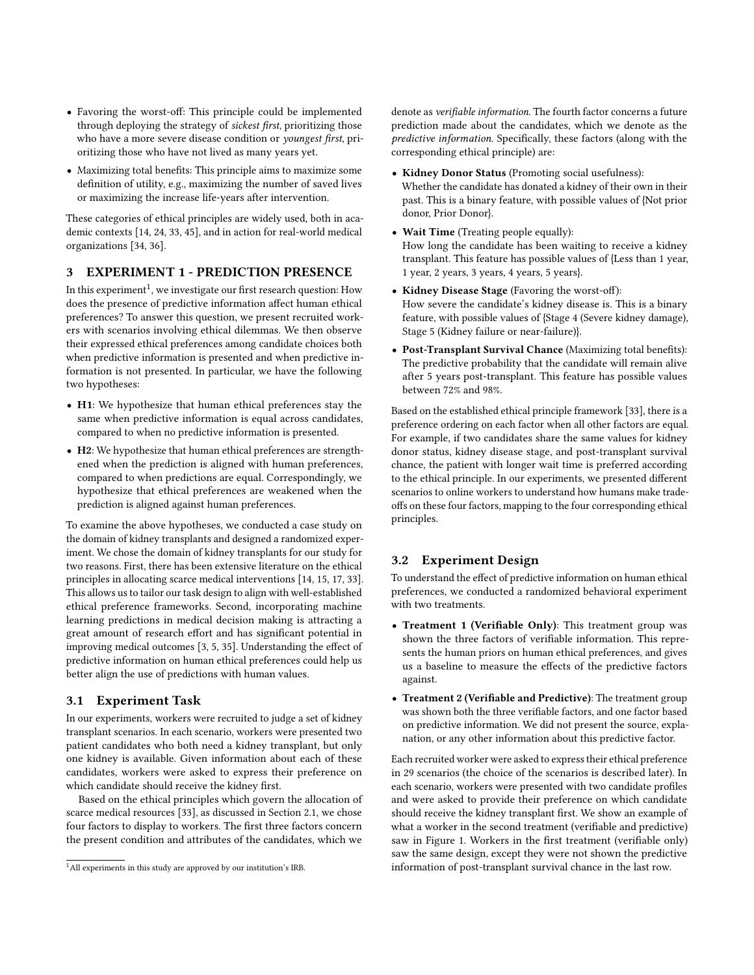- Favoring the worst-off: This principle could be implemented through deploying the strategy of sickest first, prioritizing those who have a more severe disease condition or youngest first, prioritizing those who have not lived as many years yet.
- Maximizing total benefits: This principle aims to maximize some definition of utility, e.g., maximizing the number of saved lives or maximizing the increase life-years after intervention.

These categories of ethical principles are widely used, both in academic contexts [\[14,](#page-8-22) [24,](#page-8-26) [33,](#page-8-25) [45\]](#page-9-8), and in action for real-world medical organizations [\[34,](#page-8-27) [36\]](#page-8-28).

## 3 EXPERIMENT 1 - PREDICTION PRESENCE

In this experiment $^1$  $^1$ , we investigate our first research question: How does the presence of predictive information affect human ethical preferences? To answer this question, we present recruited workers with scenarios involving ethical dilemmas. We then observe their expressed ethical preferences among candidate choices both when predictive information is presented and when predictive information is not presented. In particular, we have the following two hypotheses:

- H1: We hypothesize that human ethical preferences stay the same when predictive information is equal across candidates, compared to when no predictive information is presented.
- H2: We hypothesize that human ethical preferences are strengthened when the prediction is aligned with human preferences, compared to when predictions are equal. Correspondingly, we hypothesize that ethical preferences are weakened when the prediction is aligned against human preferences.

To examine the above hypotheses, we conducted a case study on the domain of kidney transplants and designed a randomized experiment. We chose the domain of kidney transplants for our study for two reasons. First, there has been extensive literature on the ethical principles in allocating scarce medical interventions [\[14,](#page-8-22) [15,](#page-8-23) [17,](#page-8-24) [33\]](#page-8-25). This allows us to tailor our task design to align with well-established ethical preference frameworks. Second, incorporating machine learning predictions in medical decision making is attracting a great amount of research effort and has significant potential in improving medical outcomes [\[3,](#page-8-29) [5,](#page-8-30) [35\]](#page-8-31). Understanding the effect of predictive information on human ethical preferences could help us better align the use of predictions with human values.

# 3.1 Experiment Task

In our experiments, workers were recruited to judge a set of kidney transplant scenarios. In each scenario, workers were presented two patient candidates who both need a kidney transplant, but only one kidney is available. Given information about each of these candidates, workers were asked to express their preference on which candidate should receive the kidney first.

Based on the ethical principles which govern the allocation of scarce medical resources [\[33\]](#page-8-25), as discussed in Section [2.1,](#page-1-0) we chose four factors to display to workers. The first three factors concern the present condition and attributes of the candidates, which we

denote as verifiable information. The fourth factor concerns a future prediction made about the candidates, which we denote as the predictive information. Specifically, these factors (along with the corresponding ethical principle) are:

- Kidney Donor Status (Promoting social usefulness): Whether the candidate has donated a kidney of their own in their past. This is a binary feature, with possible values of {Not prior donor, Prior Donor}.
- Wait Time (Treating people equally): How long the candidate has been waiting to receive a kidney transplant. This feature has possible values of {Less than 1 year, 1 year, 2 years, 3 years, 4 years, 5 years}.
- Kidney Disease Stage (Favoring the worst-off): How severe the candidate's kidney disease is. This is a binary feature, with possible values of {Stage 4 (Severe kidney damage), Stage 5 (Kidney failure or near-failure)}.
- Post-Transplant Survival Chance (Maximizing total benefits): The predictive probability that the candidate will remain alive after 5 years post-transplant. This feature has possible values between 72% and 98%.

Based on the established ethical principle framework [\[33\]](#page-8-25), there is a preference ordering on each factor when all other factors are equal. For example, if two candidates share the same values for kidney donor status, kidney disease stage, and post-transplant survival chance, the patient with longer wait time is preferred according to the ethical principle. In our experiments, we presented different scenarios to online workers to understand how humans make tradeoffs on these four factors, mapping to the four corresponding ethical principles.

#### 3.2 Experiment Design

To understand the effect of predictive information on human ethical preferences, we conducted a randomized behavioral experiment with two treatments.

- Treatment 1 (Verifiable Only): This treatment group was shown the three factors of verifiable information. This represents the human priors on human ethical preferences, and gives us a baseline to measure the effects of the predictive factors against.
- Treatment 2 (Verifiable and Predictive): The treatment group was shown both the three verifiable factors, and one factor based on predictive information. We did not present the source, explanation, or any other information about this predictive factor.

Each recruited worker were asked to express their ethical preference in 29 scenarios (the choice of the scenarios is described later). In each scenario, workers were presented with two candidate profiles and were asked to provide their preference on which candidate should receive the kidney transplant first. We show an example of what a worker in the second treatment (verifiable and predictive) saw in Figure [1.](#page-3-0) Workers in the first treatment (verifiable only) saw the same design, except they were not shown the predictive information of post-transplant survival chance in the last row.

<span id="page-2-0"></span><sup>&</sup>lt;sup>1</sup>All experiments in this study are approved by our institution's IRB.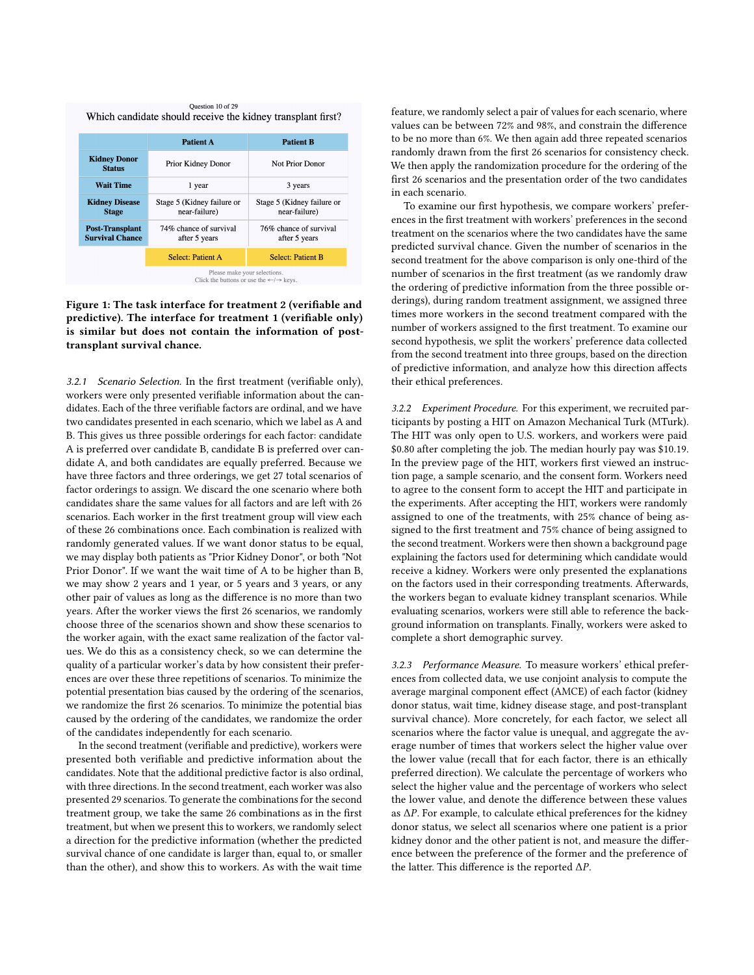<span id="page-3-0"></span>

Figure 1: The task interface for treatment 2 (verifiable and predictive). The interface for treatment 1 (verifiable only) is similar but does not contain the information of posttransplant survival chance.

3.2.1 Scenario Selection. In the first treatment (verifiable only), workers were only presented verifiable information about the candidates. Each of the three verifiable factors are ordinal, and we have two candidates presented in each scenario, which we label as A and B. This gives us three possible orderings for each factor: candidate A is preferred over candidate B, candidate B is preferred over candidate A, and both candidates are equally preferred. Because we have three factors and three orderings, we get 27 total scenarios of factor orderings to assign. We discard the one scenario where both candidates share the same values for all factors and are left with 26 scenarios. Each worker in the first treatment group will view each of these 26 combinations once. Each combination is realized with randomly generated values. If we want donor status to be equal, we may display both patients as "Prior Kidney Donor", or both "Not Prior Donor". If we want the wait time of A to be higher than B, we may show 2 years and 1 year, or 5 years and 3 years, or any other pair of values as long as the difference is no more than two years. After the worker views the first 26 scenarios, we randomly choose three of the scenarios shown and show these scenarios to the worker again, with the exact same realization of the factor values. We do this as a consistency check, so we can determine the quality of a particular worker's data by how consistent their preferences are over these three repetitions of scenarios. To minimize the potential presentation bias caused by the ordering of the scenarios, we randomize the first 26 scenarios. To minimize the potential bias caused by the ordering of the candidates, we randomize the order of the candidates independently for each scenario.

In the second treatment (verifiable and predictive), workers were presented both verifiable and predictive information about the candidates. Note that the additional predictive factor is also ordinal, with three directions. In the second treatment, each worker was also presented 29 scenarios. To generate the combinations for the second treatment group, we take the same 26 combinations as in the first treatment, but when we present this to workers, we randomly select a direction for the predictive information (whether the predicted survival chance of one candidate is larger than, equal to, or smaller than the other), and show this to workers. As with the wait time

feature, we randomly select a pair of values for each scenario, where values can be between 72% and 98%, and constrain the difference to be no more than 6%. We then again add three repeated scenarios randomly drawn from the first 26 scenarios for consistency check. We then apply the randomization procedure for the ordering of the first 26 scenarios and the presentation order of the two candidates in each scenario.

To examine our first hypothesis, we compare workers' preferences in the first treatment with workers' preferences in the second treatment on the scenarios where the two candidates have the same predicted survival chance. Given the number of scenarios in the second treatment for the above comparison is only one-third of the number of scenarios in the first treatment (as we randomly draw the ordering of predictive information from the three possible orderings), during random treatment assignment, we assigned three times more workers in the second treatment compared with the number of workers assigned to the first treatment. To examine our second hypothesis, we split the workers' preference data collected from the second treatment into three groups, based on the direction of predictive information, and analyze how this direction affects their ethical preferences.

3.2.2 Experiment Procedure. For this experiment, we recruited participants by posting a HIT on Amazon Mechanical Turk (MTurk). The HIT was only open to U.S. workers, and workers were paid \$0.80 after completing the job. The median hourly pay was \$10.19. In the preview page of the HIT, workers first viewed an instruction page, a sample scenario, and the consent form. Workers need to agree to the consent form to accept the HIT and participate in the experiments. After accepting the HIT, workers were randomly assigned to one of the treatments, with 25% chance of being assigned to the first treatment and 75% chance of being assigned to the second treatment. Workers were then shown a background page explaining the factors used for determining which candidate would receive a kidney. Workers were only presented the explanations on the factors used in their corresponding treatments. Afterwards, the workers began to evaluate kidney transplant scenarios. While evaluating scenarios, workers were still able to reference the background information on transplants. Finally, workers were asked to complete a short demographic survey.

3.2.3 Performance Measure. To measure workers' ethical preferences from collected data, we use conjoint analysis to compute the average marginal component effect (AMCE) of each factor (kidney donor status, wait time, kidney disease stage, and post-transplant survival chance). More concretely, for each factor, we select all scenarios where the factor value is unequal, and aggregate the average number of times that workers select the higher value over the lower value (recall that for each factor, there is an ethically preferred direction). We calculate the percentage of workers who select the higher value and the percentage of workers who select the lower value, and denote the difference between these values as  $\Delta P$ . For example, to calculate ethical preferences for the kidney donor status, we select all scenarios where one patient is a prior kidney donor and the other patient is not, and measure the difference between the preference of the former and the preference of the latter. This difference is the reported  $\Delta P$ .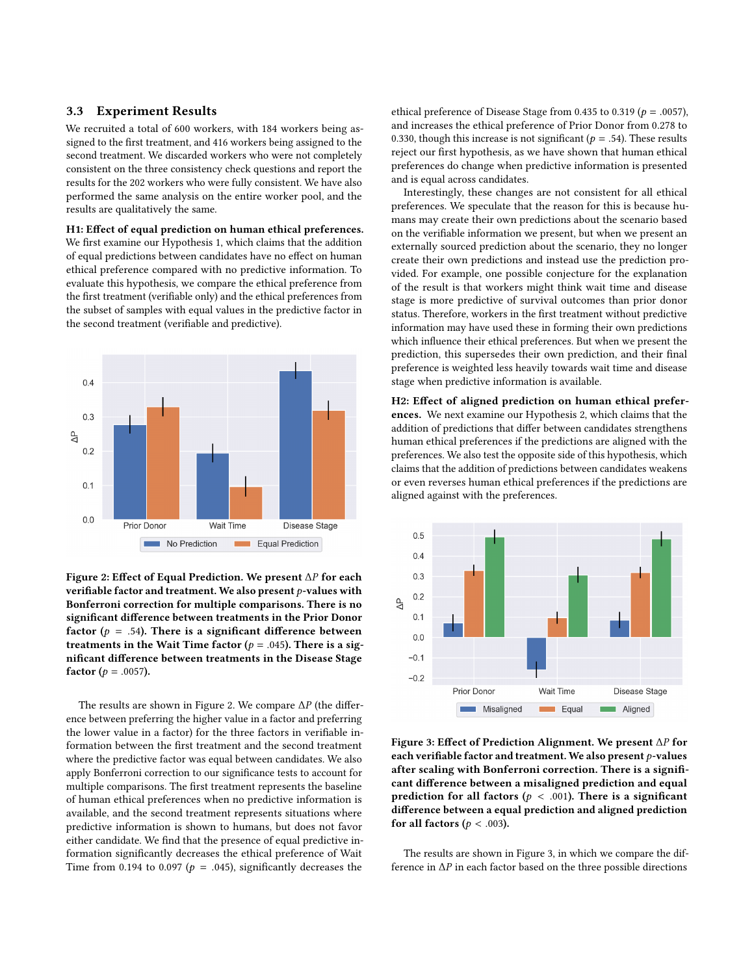#### 3.3 Experiment Results

We recruited a total of 600 workers, with 184 workers being assigned to the first treatment, and 416 workers being assigned to the second treatment. We discarded workers who were not completely consistent on the three consistency check questions and report the results for the 202 workers who were fully consistent. We have also performed the same analysis on the entire worker pool, and the results are qualitatively the same.

# H1: Effect of equal prediction on human ethical preferences. We first examine our Hypothesis 1, which claims that the addition of equal predictions between candidates have no effect on human ethical preference compared with no predictive information. To evaluate this hypothesis, we compare the ethical preference from the first treatment (verifiable only) and the ethical preferences from

the subset of samples with equal values in the predictive factor in the second treatment (verifiable and predictive).

<span id="page-4-0"></span>

Figure 2: Effect of Equal Prediction. We present  $\Delta P$  for each verifiable factor and treatment. We also present  $p$ -values with Bonferroni correction for multiple comparisons. There is no significant difference between treatments in the Prior Donor factor ( $p = .54$ ). There is a significant difference between treatments in the Wait Time factor ( $p = .045$ ). There is a significant difference between treatments in the Disease Stage factor ( $p = .0057$ ).

The results are shown in Figure [2.](#page-4-0) We compare  $\Delta P$  (the difference between preferring the higher value in a factor and preferring the lower value in a factor) for the three factors in verifiable information between the first treatment and the second treatment where the predictive factor was equal between candidates. We also apply Bonferroni correction to our significance tests to account for multiple comparisons. The first treatment represents the baseline of human ethical preferences when no predictive information is available, and the second treatment represents situations where predictive information is shown to humans, but does not favor either candidate. We find that the presence of equal predictive information significantly decreases the ethical preference of Wait Time from 0.194 to 0.097 ( $p = .045$ ), significantly decreases the

ethical preference of Disease Stage from 0.435 to 0.319 ( $p = .0057$ ), and increases the ethical preference of Prior Donor from 0.278 to 0.330, though this increase is not significant ( $p = .54$ ). These results reject our first hypothesis, as we have shown that human ethical preferences do change when predictive information is presented and is equal across candidates.

Interestingly, these changes are not consistent for all ethical preferences. We speculate that the reason for this is because humans may create their own predictions about the scenario based on the verifiable information we present, but when we present an externally sourced prediction about the scenario, they no longer create their own predictions and instead use the prediction provided. For example, one possible conjecture for the explanation of the result is that workers might think wait time and disease stage is more predictive of survival outcomes than prior donor status. Therefore, workers in the first treatment without predictive information may have used these in forming their own predictions which influence their ethical preferences. But when we present the prediction, this supersedes their own prediction, and their final preference is weighted less heavily towards wait time and disease stage when predictive information is available.

H2: Effect of aligned prediction on human ethical preferences. We next examine our Hypothesis 2, which claims that the addition of predictions that differ between candidates strengthens human ethical preferences if the predictions are aligned with the preferences. We also test the opposite side of this hypothesis, which claims that the addition of predictions between candidates weakens or even reverses human ethical preferences if the predictions are aligned against with the preferences.

<span id="page-4-1"></span>

Figure 3: Effect of Prediction Alignment. We present ΔP for each verifiable factor and treatment. We also present  $p$ -values after scaling with Bonferroni correction. There is a significant difference between a misaligned prediction and equal prediction for all factors ( $p < .001$ ). There is a significant difference between a equal prediction and aligned prediction for all factors ( $p < .003$ ).

The results are shown in Figure [3,](#page-4-1) in which we compare the difference in  $\Delta P$  in each factor based on the three possible directions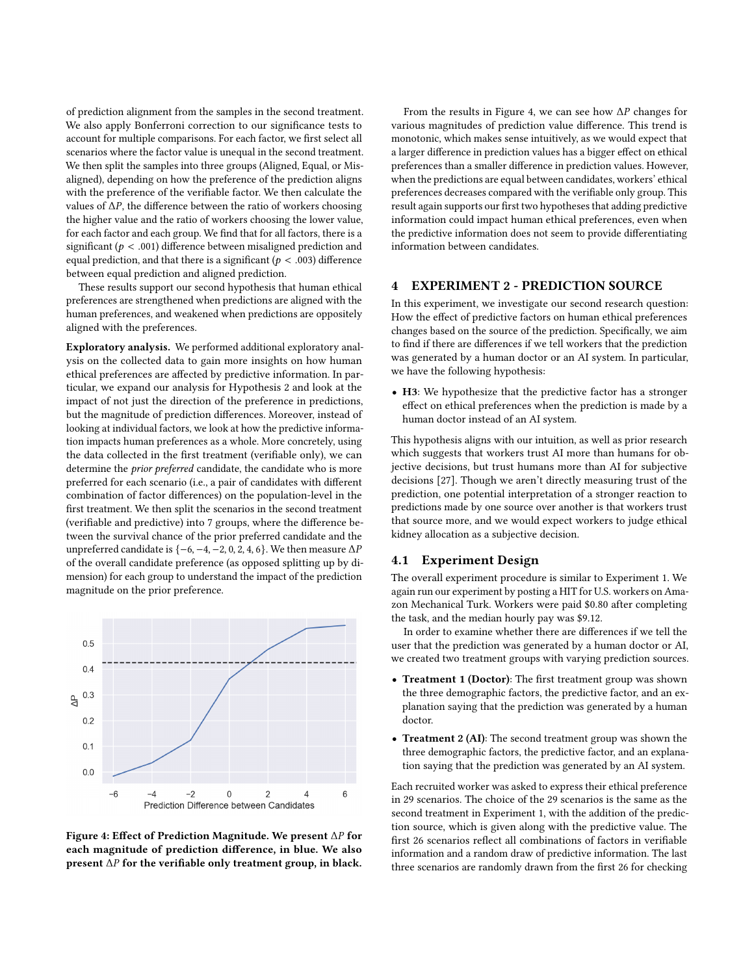of prediction alignment from the samples in the second treatment. We also apply Bonferroni correction to our significance tests to account for multiple comparisons. For each factor, we first select all scenarios where the factor value is unequal in the second treatment. We then split the samples into three groups (Aligned, Equal, or Misaligned), depending on how the preference of the prediction aligns with the preference of the verifiable factor. We then calculate the values of  $\Delta P$ , the difference between the ratio of workers choosing the higher value and the ratio of workers choosing the lower value, for each factor and each group. We find that for all factors, there is a significant ( $p < .001$ ) difference between misaligned prediction and equal prediction, and that there is a significant ( $p < .003$ ) difference between equal prediction and aligned prediction.

These results support our second hypothesis that human ethical preferences are strengthened when predictions are aligned with the human preferences, and weakened when predictions are oppositely aligned with the preferences.

Exploratory analysis. We performed additional exploratory analysis on the collected data to gain more insights on how human ethical preferences are affected by predictive information. In particular, we expand our analysis for Hypothesis 2 and look at the impact of not just the direction of the preference in predictions, but the magnitude of prediction differences. Moreover, instead of looking at individual factors, we look at how the predictive information impacts human preferences as a whole. More concretely, using the data collected in the first treatment (verifiable only), we can determine the prior preferred candidate, the candidate who is more preferred for each scenario (i.e., a pair of candidates with different combination of factor differences) on the population-level in the first treatment. We then split the scenarios in the second treatment (verifiable and predictive) into 7 groups, where the difference between the survival chance of the prior preferred candidate and the unpreferred candidate is  $\{-6, -4, -2, 0, 2, 4, 6\}$ . We then measure  $\Delta P$ of the overall candidate preference (as opposed splitting up by dimension) for each group to understand the impact of the prediction magnitude on the prior preference.

<span id="page-5-0"></span>

Figure 4: Effect of Prediction Magnitude. We present  $\Delta P$  for each magnitude of prediction difference, in blue. We also present  $\Delta P$  for the verifiable only treatment group, in black.

From the results in Figure [4,](#page-5-0) we can see how  $\Delta P$  changes for various magnitudes of prediction value difference. This trend is monotonic, which makes sense intuitively, as we would expect that a larger difference in prediction values has a bigger effect on ethical preferences than a smaller difference in prediction values. However, when the predictions are equal between candidates, workers' ethical preferences decreases compared with the verifiable only group. This result again supports our first two hypotheses that adding predictive information could impact human ethical preferences, even when the predictive information does not seem to provide differentiating information between candidates.

# 4 EXPERIMENT 2 - PREDICTION SOURCE

In this experiment, we investigate our second research question: How the effect of predictive factors on human ethical preferences changes based on the source of the prediction. Specifically, we aim to find if there are differences if we tell workers that the prediction was generated by a human doctor or an AI system. In particular, we have the following hypothesis:

• H3: We hypothesize that the predictive factor has a stronger effect on ethical preferences when the prediction is made by a human doctor instead of an AI system.

This hypothesis aligns with our intuition, as well as prior research which suggests that workers trust AI more than humans for objective decisions, but trust humans more than AI for subjective decisions [\[27\]](#page-8-32). Though we aren't directly measuring trust of the prediction, one potential interpretation of a stronger reaction to predictions made by one source over another is that workers trust that source more, and we would expect workers to judge ethical kidney allocation as a subjective decision.

#### 4.1 Experiment Design

The overall experiment procedure is similar to Experiment 1. We again run our experiment by posting a HIT for U.S. workers on Amazon Mechanical Turk. Workers were paid \$0.80 after completing the task, and the median hourly pay was \$9.12.

In order to examine whether there are differences if we tell the user that the prediction was generated by a human doctor or AI, we created two treatment groups with varying prediction sources.

- Treatment 1 (Doctor): The first treatment group was shown the three demographic factors, the predictive factor, and an explanation saying that the prediction was generated by a human doctor.
- Treatment 2 (AI): The second treatment group was shown the three demographic factors, the predictive factor, and an explanation saying that the prediction was generated by an AI system.

Each recruited worker was asked to express their ethical preference in 29 scenarios. The choice of the 29 scenarios is the same as the second treatment in Experiment 1, with the addition of the prediction source, which is given along with the predictive value. The first 26 scenarios reflect all combinations of factors in verifiable information and a random draw of predictive information. The last three scenarios are randomly drawn from the first 26 for checking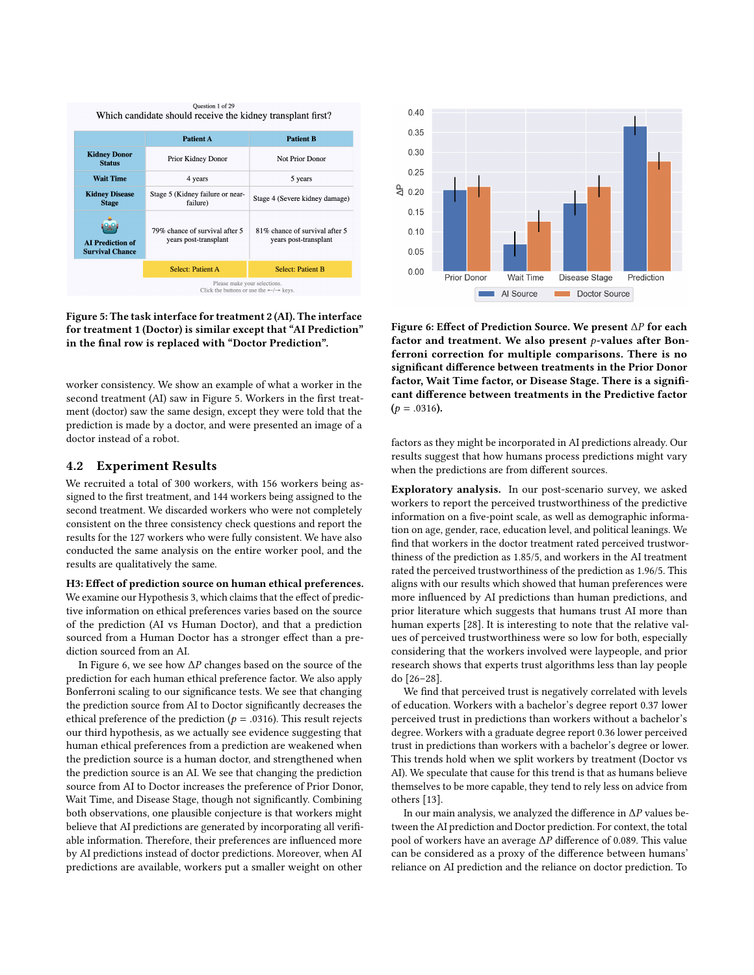<span id="page-6-0"></span>

Figure 5: The task interface for treatment 2 (AI). The interface for treatment 1 (Doctor) is similar except that "AI Prediction" in the final row is replaced with "Doctor Prediction".

worker consistency. We show an example of what a worker in the second treatment (AI) saw in Figure [5.](#page-6-0) Workers in the first treatment (doctor) saw the same design, except they were told that the prediction is made by a doctor, and were presented an image of a doctor instead of a robot.

# <span id="page-6-2"></span>4.2 Experiment Results

We recruited a total of 300 workers, with 156 workers being assigned to the first treatment, and 144 workers being assigned to the second treatment. We discarded workers who were not completely consistent on the three consistency check questions and report the results for the 127 workers who were fully consistent. We have also conducted the same analysis on the entire worker pool, and the results are qualitatively the same.

#### H3: Effect of prediction source on human ethical preferences. We examine our Hypothesis 3, which claims that the effect of predictive information on ethical preferences varies based on the source of the prediction (AI vs Human Doctor), and that a prediction sourced from a Human Doctor has a stronger effect than a prediction sourced from an AI.

In Figure [6,](#page-6-1) we see how  $\Delta P$  changes based on the source of the prediction for each human ethical preference factor. We also apply Bonferroni scaling to our significance tests. We see that changing the prediction source from AI to Doctor significantly decreases the ethical preference of the prediction ( $p = .0316$ ). This result rejects our third hypothesis, as we actually see evidence suggesting that human ethical preferences from a prediction are weakened when the prediction source is a human doctor, and strengthened when the prediction source is an AI. We see that changing the prediction source from AI to Doctor increases the preference of Prior Donor, Wait Time, and Disease Stage, though not significantly. Combining both observations, one plausible conjecture is that workers might believe that AI predictions are generated by incorporating all verifiable information. Therefore, their preferences are influenced more by AI predictions instead of doctor predictions. Moreover, when AI predictions are available, workers put a smaller weight on other

<span id="page-6-1"></span>

Figure 6: Effect of Prediction Source. We present  $\Delta P$  for each factor and treatment. We also present  $p$ -values after Bonferroni correction for multiple comparisons. There is no significant difference between treatments in the Prior Donor factor, Wait Time factor, or Disease Stage. There is a significant difference between treatments in the Predictive factor  $(p = .0316)$ .

factors as they might be incorporated in AI predictions already. Our results suggest that how humans process predictions might vary when the predictions are from different sources.

Exploratory analysis. In our post-scenario survey, we asked workers to report the perceived trustworthiness of the predictive information on a five-point scale, as well as demographic information on age, gender, race, education level, and political leanings. We find that workers in the doctor treatment rated perceived trustworthiness of the prediction as 1.85/5, and workers in the AI treatment rated the perceived trustworthiness of the prediction as 1.96/5. This aligns with our results which showed that human preferences were more influenced by AI predictions than human predictions, and prior literature which suggests that humans trust AI more than human experts [\[28\]](#page-8-33). It is interesting to note that the relative values of perceived trustworthiness were so low for both, especially considering that the workers involved were laypeople, and prior research shows that experts trust algorithms less than lay people do [\[26–](#page-8-34)[28\]](#page-8-33).

We find that perceived trust is negatively correlated with levels of education. Workers with a bachelor's degree report 0.37 lower perceived trust in predictions than workers without a bachelor's degree. Workers with a graduate degree report 0.36 lower perceived trust in predictions than workers with a bachelor's degree or lower. This trends hold when we split workers by treatment (Doctor vs AI). We speculate that cause for this trend is that as humans believe themselves to be more capable, they tend to rely less on advice from others [\[13\]](#page-8-35).

In our main analysis, we analyzed the difference in  $\Delta P$  values between the AI prediction and Doctor prediction. For context, the total pool of workers have an average  $\Delta P$  difference of 0.089. This value can be considered as a proxy of the difference between humans' reliance on AI prediction and the reliance on doctor prediction. To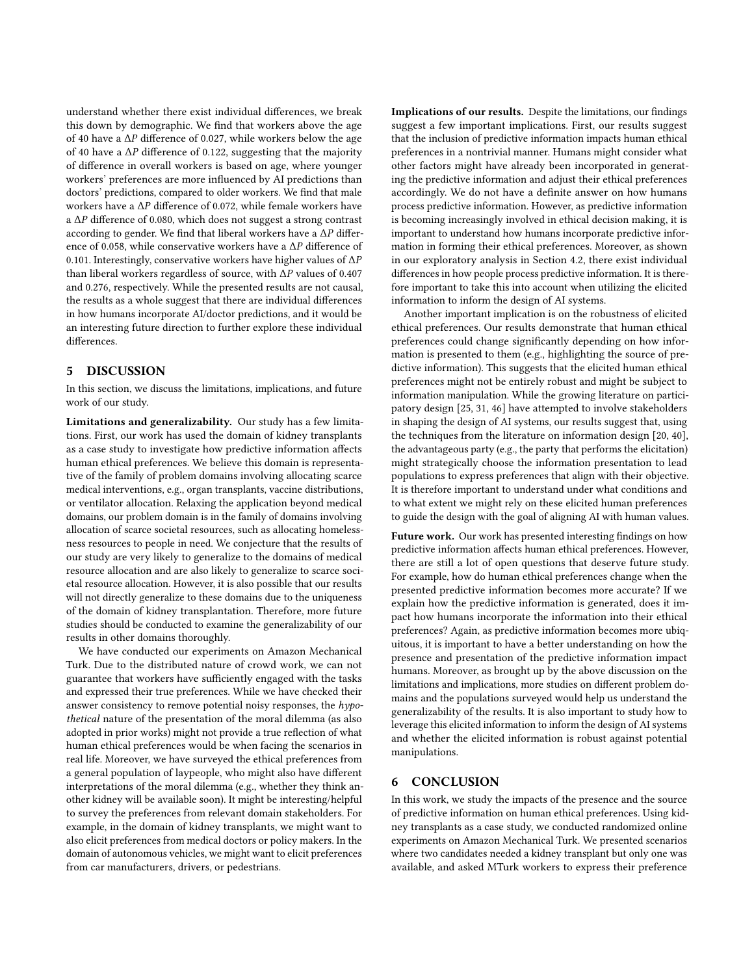understand whether there exist individual differences, we break this down by demographic. We find that workers above the age of 40 have a  $\Delta P$  difference of 0.027, while workers below the age of 40 have a  $\Delta P$  difference of 0.122, suggesting that the majority of difference in overall workers is based on age, where younger workers' preferences are more influenced by AI predictions than doctors' predictions, compared to older workers. We find that male workers have a  $\Delta P$  difference of 0.072, while female workers have a  $\Delta P$  difference of 0.080, which does not suggest a strong contrast according to gender. We find that liberal workers have a  $\Delta P$  difference of 0.058, while conservative workers have a  $\Delta P$  difference of 0.101. Interestingly, conservative workers have higher values of  $\Delta P$ than liberal workers regardless of source, with  $\Delta P$  values of 0.407 and 0.276, respectively. While the presented results are not causal, the results as a whole suggest that there are individual differences in how humans incorporate AI/doctor predictions, and it would be an interesting future direction to further explore these individual differences.

# 5 DISCUSSION

In this section, we discuss the limitations, implications, and future work of our study.

Limitations and generalizability. Our study has a few limitations. First, our work has used the domain of kidney transplants as a case study to investigate how predictive information affects human ethical preferences. We believe this domain is representative of the family of problem domains involving allocating scarce medical interventions, e.g., organ transplants, vaccine distributions, or ventilator allocation. Relaxing the application beyond medical domains, our problem domain is in the family of domains involving allocation of scarce societal resources, such as allocating homelessness resources to people in need. We conjecture that the results of our study are very likely to generalize to the domains of medical resource allocation and are also likely to generalize to scarce societal resource allocation. However, it is also possible that our results will not directly generalize to these domains due to the uniqueness of the domain of kidney transplantation. Therefore, more future studies should be conducted to examine the generalizability of our results in other domains thoroughly.

We have conducted our experiments on Amazon Mechanical Turk. Due to the distributed nature of crowd work, we can not guarantee that workers have sufficiently engaged with the tasks and expressed their true preferences. While we have checked their answer consistency to remove potential noisy responses, the hypothetical nature of the presentation of the moral dilemma (as also adopted in prior works) might not provide a true reflection of what human ethical preferences would be when facing the scenarios in real life. Moreover, we have surveyed the ethical preferences from a general population of laypeople, who might also have different interpretations of the moral dilemma (e.g., whether they think another kidney will be available soon). It might be interesting/helpful to survey the preferences from relevant domain stakeholders. For example, in the domain of kidney transplants, we might want to also elicit preferences from medical doctors or policy makers. In the domain of autonomous vehicles, we might want to elicit preferences from car manufacturers, drivers, or pedestrians.

Implications of our results. Despite the limitations, our findings suggest a few important implications. First, our results suggest that the inclusion of predictive information impacts human ethical preferences in a nontrivial manner. Humans might consider what other factors might have already been incorporated in generating the predictive information and adjust their ethical preferences accordingly. We do not have a definite answer on how humans process predictive information. However, as predictive information is becoming increasingly involved in ethical decision making, it is important to understand how humans incorporate predictive information in forming their ethical preferences. Moreover, as shown in our exploratory analysis in Section [4.2,](#page-6-2) there exist individual differences in how people process predictive information. It is therefore important to take this into account when utilizing the elicited information to inform the design of AI systems.

Another important implication is on the robustness of elicited ethical preferences. Our results demonstrate that human ethical preferences could change significantly depending on how information is presented to them (e.g., highlighting the source of predictive information). This suggests that the elicited human ethical preferences might not be entirely robust and might be subject to information manipulation. While the growing literature on participatory design [\[25,](#page-8-13) [31,](#page-8-14) [46\]](#page-9-7) have attempted to involve stakeholders in shaping the design of AI systems, our results suggest that, using the techniques from the literature on information design [\[20,](#page-8-36) [40\]](#page-9-9), the advantageous party (e.g., the party that performs the elicitation) might strategically choose the information presentation to lead populations to express preferences that align with their objective. It is therefore important to understand under what conditions and to what extent we might rely on these elicited human preferences to guide the design with the goal of aligning AI with human values.

Future work. Our work has presented interesting findings on how predictive information affects human ethical preferences. However, there are still a lot of open questions that deserve future study. For example, how do human ethical preferences change when the presented predictive information becomes more accurate? If we explain how the predictive information is generated, does it impact how humans incorporate the information into their ethical preferences? Again, as predictive information becomes more ubiquitous, it is important to have a better understanding on how the presence and presentation of the predictive information impact humans. Moreover, as brought up by the above discussion on the limitations and implications, more studies on different problem domains and the populations surveyed would help us understand the generalizability of the results. It is also important to study how to leverage this elicited information to inform the design of AI systems and whether the elicited information is robust against potential manipulations.

#### 6 CONCLUSION

In this work, we study the impacts of the presence and the source of predictive information on human ethical preferences. Using kidney transplants as a case study, we conducted randomized online experiments on Amazon Mechanical Turk. We presented scenarios where two candidates needed a kidney transplant but only one was available, and asked MTurk workers to express their preference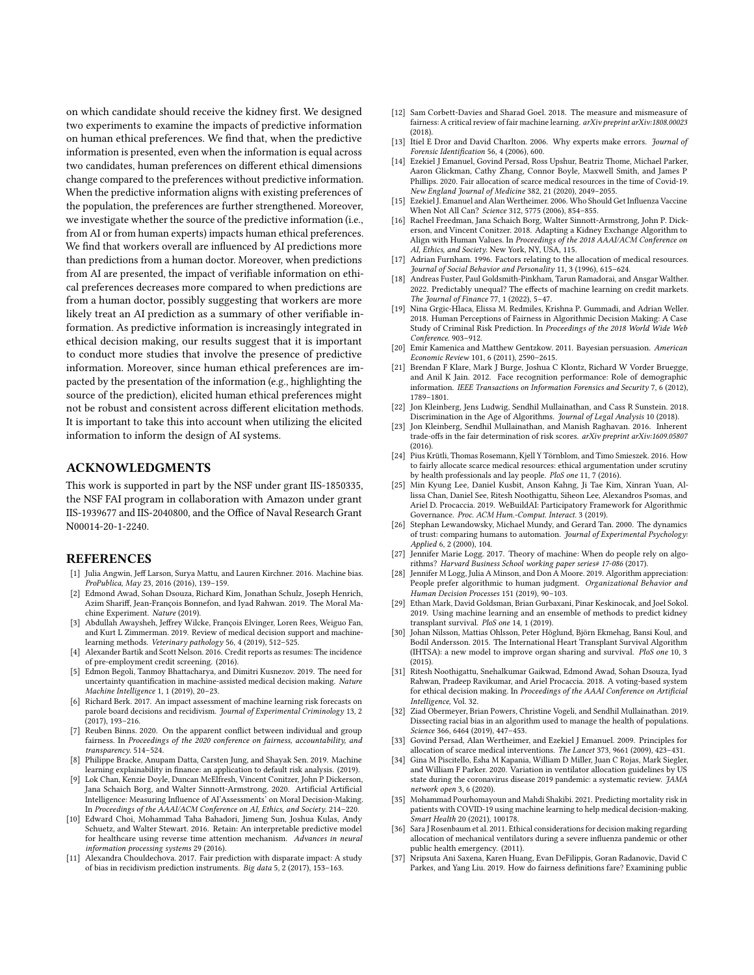on which candidate should receive the kidney first. We designed two experiments to examine the impacts of predictive information on human ethical preferences. We find that, when the predictive information is presented, even when the information is equal across two candidates, human preferences on different ethical dimensions change compared to the preferences without predictive information. When the predictive information aligns with existing preferences of the population, the preferences are further strengthened. Moreover, we investigate whether the source of the predictive information (i.e., from AI or from human experts) impacts human ethical preferences. We find that workers overall are influenced by AI predictions more than predictions from a human doctor. Moreover, when predictions from AI are presented, the impact of verifiable information on ethical preferences decreases more compared to when predictions are from a human doctor, possibly suggesting that workers are more likely treat an AI prediction as a summary of other verifiable information. As predictive information is increasingly integrated in ethical decision making, our results suggest that it is important to conduct more studies that involve the presence of predictive information. Moreover, since human ethical preferences are impacted by the presentation of the information (e.g., highlighting the source of the prediction), elicited human ethical preferences might not be robust and consistent across different elicitation methods. It is important to take this into account when utilizing the elicited information to inform the design of AI systems.

# ACKNOWLEDGMENTS

This work is supported in part by the NSF under grant IIS-1850335, the NSF FAI program in collaboration with Amazon under grant IIS-1939677 and IIS-2040800, and the Office of Naval Research Grant N00014-20-1-2240.

#### REFERENCES

- <span id="page-8-6"></span>[1] Julia Angwin, Jeff Larson, Surya Mattu, and Lauren Kirchner. 2016. Machine bias. ProPublica, May 23, 2016 (2016), 139–159.
- <span id="page-8-11"></span>[2] Edmond Awad, Sohan Dsouza, Richard Kim, Jonathan Schulz, Joseph Henrich, Azim Shariff, Jean-François Bonnefon, and Iyad Rahwan. 2019. The Moral Machine Experiment. Nature (2019).
- <span id="page-8-29"></span>[3] Abdullah Awaysheh, Jeffrey Wilcke, François Elvinger, Loren Rees, Weiguo Fan, and Kurt L Zimmerman. 2019. Review of medical decision support and machinelearning methods. Veterinary pathology 56, 4 (2019), 512–525.
- <span id="page-8-8"></span>[4] Alexander Bartik and Scott Nelson. 2016. Credit reports as resumes: The incidence of pre-employment credit screening. (2016).
- <span id="page-8-30"></span>[5] Edmon Begoli, Tanmoy Bhattacharya, and Dimitri Kusnezov. 2019. The need for uncertainty quantification in machine-assisted medical decision making. Nature Machine Intelligence 1, 1 (2019), 20–23.
- <span id="page-8-7"></span>[6] Richard Berk. 2017. An impact assessment of machine learning risk forecasts on parole board decisions and recidivism. Journal of Experimental Criminology 13, 2 (2017), 193–216.
- <span id="page-8-18"></span>[7] Reuben Binns. 2020. On the apparent conflict between individual and group fairness. In Proceedings of the 2020 conference on fairness, accountability, and transparency. 514–524.
- <span id="page-8-3"></span>[8] Philippe Bracke, Anupam Datta, Carsten Jung, and Shayak Sen. 2019. Machine learning explainability in finance: an application to default risk analysis. (2019).
- <span id="page-8-15"></span>[9] Lok Chan, Kenzie Doyle, Duncan McElfresh, Vincent Conitzer, John P Dickerson, Jana Schaich Borg, and Walter Sinnott-Armstrong. 2020. Artificial Artificial Intelligence: Measuring Influence of AI'Assessments' on Moral Decision-Making. In Proceedings of the AAAI/ACM Conference on AI, Ethics, and Society. 214–220.
- <span id="page-8-0"></span>[10] Edward Choi, Mohammad Taha Bahadori, Jimeng Sun, Joshua Kulas, Andy Schuetz, and Walter Stewart. 2016. Retain: An interpretable predictive model for healthcare using reverse time attention mechanism. Advances in neural information processing systems 29 (2016).
- <span id="page-8-19"></span>[11] Alexandra Chouldechova. 2017. Fair prediction with disparate impact: A study of bias in recidivism prediction instruments. Big data 5, 2 (2017), 153–163.
- <span id="page-8-20"></span>[12] Sam Corbett-Davies and Sharad Goel. 2018. The measure and mismeasure of fairness: A critical review of fair machine learning. arXiv preprint arXiv:1808.00023 (2018).
- <span id="page-8-35"></span>[13] Itiel E Dror and David Charlton. 2006. Why experts make errors. Journal of Forensic Identification 56, 4 (2006), 600.
- <span id="page-8-22"></span>[14] Ezekiel J Emanuel, Govind Persad, Ross Upshur, Beatriz Thome, Michael Parker, Aaron Glickman, Cathy Zhang, Connor Boyle, Maxwell Smith, and James P Phillips. 2020. Fair allocation of scarce medical resources in the time of Covid-19. New England Journal of Medicine 382, 21 (2020), 2049–2055.
- <span id="page-8-23"></span>[15] Ezekiel J. Emanuel and Alan Wertheimer. 2006. Who Should Get Influenza Vaccine When Not All Can? Science 312, 5775 (2006), 854–855.
- <span id="page-8-12"></span>[16] Rachel Freedman, Jana Schaich Borg, Walter Sinnott-Armstrong, John P. Dickerson, and Vincent Conitzer. 2018. Adapting a Kidney Exchange Algorithm to Align with Human Values. In Proceedings of the 2018 AAAI/ACM Conference on AI, Ethics, and Society. New York, NY, USA, 115.
- <span id="page-8-24"></span>[17] Adrian Furnham. 1996. Factors relating to the allocation of medical resources. Journal of Social Behavior and Personality 11, 3 (1996), 615–624.
- <span id="page-8-4"></span>[18] Andreas Fuster, Paul Goldsmith-Pinkham, Tarun Ramadorai, and Ansgar Walther. 2022. Predictably unequal? The effects of machine learning on credit markets. The Journal of Finance 77, 1 (2022), 5–47.
- <span id="page-8-17"></span>[19] Nina Grgic-Hlaca, Elissa M. Redmiles, Krishna P. Gummadi, and Adrian Weller. 2018. Human Perceptions of Fairness in Algorithmic Decision Making: A Case Study of Criminal Risk Prediction. In Proceedings of the 2018 World Wide Web Conference. 903–912.
- <span id="page-8-36"></span>[20] Emir Kamenica and Matthew Gentzkow. 2011. Bayesian persuasion. American Economic Review 101, 6 (2011), 2590–2615.
- <span id="page-8-9"></span>[21] Brendan F Klare, Mark J Burge, Joshua C Klontz, Richard W Vorder Bruegge, and Anil K Jain. 2012. Face recognition performance: Role of demographic information. IEEE Transactions on Information Forensics and Security 7,  $\tilde{6}$  (2012), 1789–1801.
- <span id="page-8-5"></span>[22] Jon Kleinberg, Jens Ludwig, Sendhil Mullainathan, and Cass R Sunstein. 2018. Discrimination in the Age of Algorithms. Journal of Legal Analysis 10 (2018).
- <span id="page-8-21"></span>[23] Jon Kleinberg, Sendhil Mullainathan, and Manish Raghavan, 2016. Inherent trade-offs in the fair determination of risk scores. arXiv preprint arXiv:1609.05807 (2016).
- <span id="page-8-26"></span>[24] Pius Krütli, Thomas Rosemann, Kjell Y Törnblom, and Timo Smieszek. 2016. How to fairly allocate scarce medical resources: ethical argumentation under scrutiny by health professionals and lay people. PloS one 11, 7 (2016).
- <span id="page-8-13"></span>[25] Min Kyung Lee, Daniel Kusbit, Anson Kahng, Ji Tae Kim, Xinran Yuan, Allissa Chan, Daniel See, Ritesh Noothigattu, Siheon Lee, Alexandros Psomas, and Ariel D. Procaccia. 2019. WeBuildAI: Participatory Framework for Algorithmic Governance. Proc. ACM Hum.-Comput. Interact. 3 (2019).
- <span id="page-8-34"></span>[26] Stephan Lewandowsky, Michael Mundy, and Gerard Tan. 2000. The dynamics of trust: comparing humans to automation. Journal of Experimental Psychology: Applied 6, 2 (2000), 104.
- <span id="page-8-32"></span>[27] Jennifer Marie Logg. 2017. Theory of machine: When do people rely on algorithms? Harvard Business School working paper series# 17-086 (2017).
- <span id="page-8-33"></span>[28] Jennifer M Logg, Julia A Minson, and Don A Moore. 2019. Algorithm appreciation: People prefer algorithmic to human judgment. Organizational Behavior and Human Decision Processes 151 (2019), 90–103.
- <span id="page-8-1"></span>[29] Ethan Mark, David Goldsman, Brian Gurbaxani, Pinar Keskinocak, and Joel Sokol. 2019. Using machine learning and an ensemble of methods to predict kidney transplant survival. PloS one 14, 1 (2019).
- <span id="page-8-2"></span>[30] Johan Nilsson, Mattias Ohlsson, Peter Höglund, Björn Ekmehag, Bansi Koul, and Bodil Andersson. 2015. The International Heart Transplant Survival Algorithm (IHTSA): a new model to improve organ sharing and survival. PloS one 10, 3 (2015).
- <span id="page-8-14"></span>[31] Ritesh Noothigattu, Snehalkumar Gaikwad, Edmond Awad, Sohan Dsouza, Iyad Rahwan, Pradeep Ravikumar, and Ariel Procaccia. 2018. A voting-based system for ethical decision making. In Proceedings of the AAAI Conference on Artificial Intelligence, Vol. 32.
- <span id="page-8-10"></span>[32] Ziad Obermeyer, Brian Powers, Christine Vogeli, and Sendhil Mullainathan. 2019. Dissecting racial bias in an algorithm used to manage the health of populations. Science 366, 6464 (2019), 447–453.
- <span id="page-8-25"></span>[33] Govind Persad, Alan Wertheimer, and Ezekiel J Emanuel. 2009. Principles for allocation of scarce medical interventions. The Lancet 373, 9661 (2009), 423–431.
- <span id="page-8-27"></span>[34] Gina M Piscitello, Esha M Kapania, William D Miller, Juan C Rojas, Mark Siegler, and William F Parker. 2020. Variation in ventilator allocation guidelines by US state during the coronavirus disease 2019 pandemic: a systematic review. JAMA network open 3, 6 (2020).
- <span id="page-8-31"></span>[35] Mohammad Pourhomayoun and Mahdi Shakibi. 2021. Predicting mortality risk in patients with COVID-19 using machine learning to help medical decision-making. Smart Health 20 (2021), 100178.
- <span id="page-8-28"></span>[36] Sara J Rosenbaum et al. 2011. Ethical considerations for decision making regarding allocation of mechanical ventilators during a severe influenza pandemic or other public health emergency. (2011).
- <span id="page-8-16"></span>[37] Nripsuta Ani Saxena, Karen Huang, Evan DeFilippis, Goran Radanovic, David C Parkes, and Yang Liu. 2019. How do fairness definitions fare? Examining public